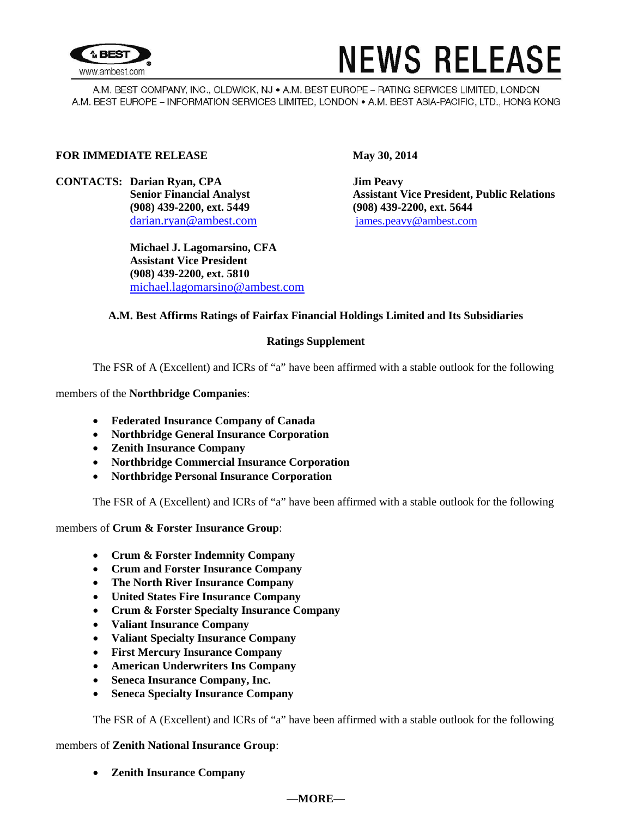

# **NEWS RELEASE**

A.M. BEST COMPANY, INC., OLDWICK, NJ . A.M. BEST EUROPE - RATING SERVICES LIMITED, LONDON A.M. BEST EUROPE - INFORMATION SERVICES LIMITED, LONDON . A.M. BEST ASIA-PACIFIC, LTD., HONG KONG

#### **FOR IMMEDIATE RELEASE May 30, 2014**

**CONTACTS: Darian Ryan, CPA Jim Peavy (908) 439-2200, ext. 5449 (908) 439-2200, ext. 5644** darian.ryan@ambest.com [james.peavy@ambest.com](mailto:james.peavy@ambest.com)

> **Michael J. Lagomarsino, CFA Assistant Vice President (908) 439-2200, ext. 5810** michael.lagomarsino@ambest.com

**Assistant Vice President, Public Relations** 

# **A.M. Best Affirms Ratings of Fairfax Financial Holdings Limited and Its Subsidiaries**

#### **Ratings Supplement**

The FSR of A (Excellent) and ICRs of "a" have been affirmed with a stable outlook for the following

members of the **Northbridge Companies**:

- **Federated Insurance Company of Canada**
- **Northbridge General Insurance Corporation**
- **Zenith Insurance Company**
- **Northbridge Commercial Insurance Corporation**
- **Northbridge Personal Insurance Corporation**

The FSR of A (Excellent) and ICRs of "a" have been affirmed with a stable outlook for the following

members of **Crum & Forster Insurance Group**:

- **Crum & Forster Indemnity Company**
- **Crum and Forster Insurance Company**
- **The North River Insurance Company**
- **United States Fire Insurance Company**
- **Crum & Forster Specialty Insurance Company**
- **Valiant Insurance Company**
- **Valiant Specialty Insurance Company**
- **First Mercury Insurance Company**
- **American Underwriters Ins Company**
- **Seneca Insurance Company, Inc.**
- **Seneca Specialty Insurance Company**

The FSR of A (Excellent) and ICRs of "a" have been affirmed with a stable outlook for the following

members of **Zenith National Insurance Group**:

• **Zenith Insurance Company** 

## **—MORE—**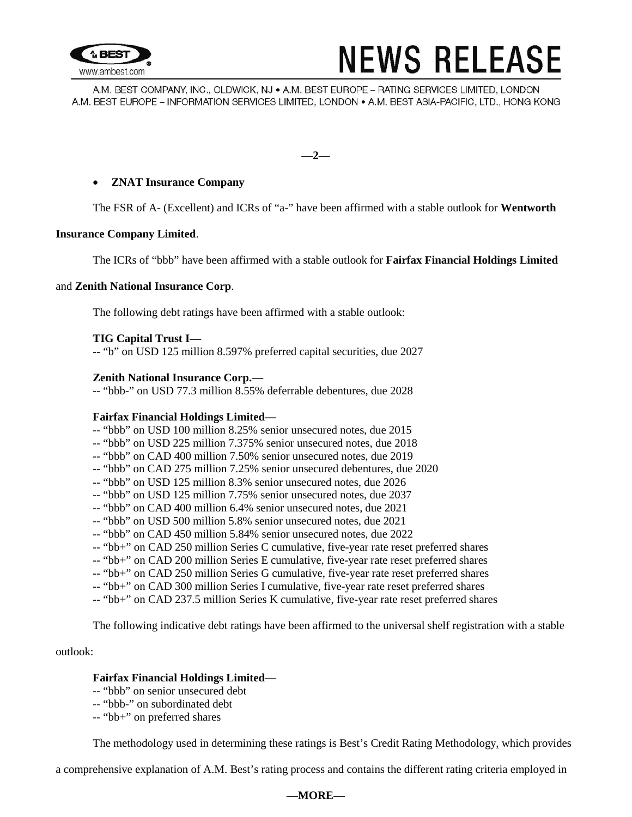

# **NEWS RELEASE**

A.M. BEST COMPANY, INC., OLDWICK, NJ • A.M. BEST EUROPE – RATING SERVICES LIMITED, LONDON A.M. BEST EUROPE - INFORMATION SERVICES LIMITED, LONDON . A.M. BEST ASIA-PACIFIC, LTD., HONG KONG

**—2—**

# • **ZNAT Insurance Company**

The FSR of A- (Excellent) and ICRs of "a-" have been affirmed with a stable outlook for **Wentworth** 

## **Insurance Company Limited**.

The ICRs of "bbb" have been affirmed with a stable outlook for **Fairfax Financial Holdings Limited**

## and **Zenith National Insurance Corp**.

The following debt ratings have been affirmed with a stable outlook:

## **TIG Capital Trust I—**

-- "b" on USD 125 million 8.597% preferred capital securities, due 2027

## **Zenith National Insurance Corp.—**

-- "bbb-" on USD 77.3 million 8.55% deferrable debentures, due 2028

#### **Fairfax Financial Holdings Limited—**

- -- "bbb" on USD 100 million 8.25% senior unsecured notes, due 2015
- -- "bbb" on USD 225 million 7.375% senior unsecured notes, due 2018
- -- "bbb" on CAD 400 million 7.50% senior unsecured notes, due 2019
- -- "bbb" on CAD 275 million 7.25% senior unsecured debentures, due 2020
- -- "bbb" on USD 125 million 8.3% senior unsecured notes, due 2026
- -- "bbb" on USD 125 million 7.75% senior unsecured notes, due 2037
- -- "bbb" on CAD 400 million 6.4% senior unsecured notes, due 2021
- -- "bbb" on USD 500 million 5.8% senior unsecured notes, due 2021
- -- "bbb" on CAD 450 million 5.84% senior unsecured notes, due 2022
- -- "bb+" on CAD 250 million Series C cumulative, five-year rate reset preferred shares
- -- "bb+" on CAD 200 million Series E cumulative, five-year rate reset preferred shares
- -- "bb+" on CAD 250 million Series G cumulative, five-year rate reset preferred shares
- -- "bb+" on CAD 300 million Series I cumulative, five-year rate reset preferred shares
- -- "bb+" on CAD 237.5 million Series K cumulative, five-year rate reset preferred shares

The following indicative debt ratings have been affirmed to the universal shelf registration with a stable

#### outlook:

#### **Fairfax Financial Holdings Limited—**

- -- "bbb" on senior unsecured debt
- -- "bbb-" on subordinated debt
- -- "bb+" on preferred shares

The methodology used in determining these ratings is Best's Credit Rating Methodology, which provides

a comprehensive explanation of A.M. Best's rating process and contains the different rating criteria employed in

#### **—MORE—**